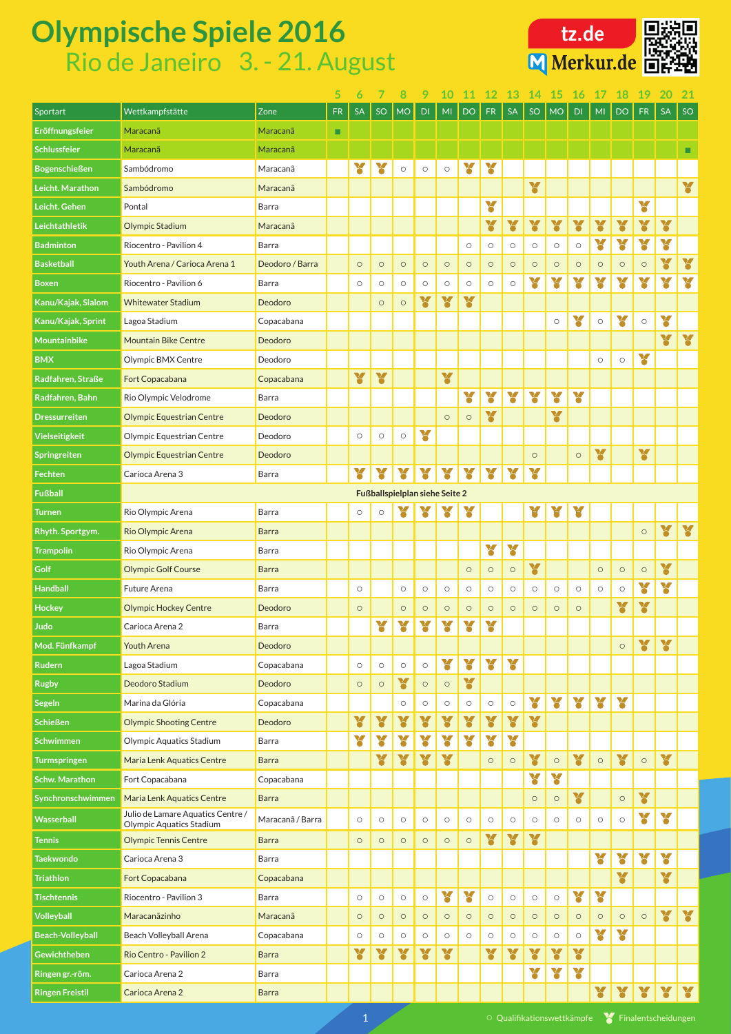| Wettkampfstätte<br>Zone<br><b>SA</b><br>SO<br><b>FR</b><br><b>SA</b><br>FR<br><b>SA</b><br>SO<br>Sportart<br><b>FR</b><br>SO<br>MI<br>DO.<br><b>MO</b><br>MI<br><b>DO</b><br>DI<br>DI<br><b>MO</b><br>Eröffnungsfeier<br>Maracanã<br>Maracanã<br>$\blacksquare$<br><b>Schlussfeier</b><br>Maracanã<br>Maracanã<br>¥<br>¥<br>¥<br>¥<br><b>Bogenschießen</b><br>Sambódromo<br>Maracanã<br>$\bigcirc$<br>$\circ$<br>$\bigcirc$<br>¥<br>¥<br>Leicht. Marathon<br>Sambódromo<br>Maracanã<br>¥<br>¥<br>Leicht. Gehen<br>Pontal<br><b>Barra</b><br>¥<br>Y<br>¥<br>¥<br>¥<br>Y<br>Y<br>¥<br>Leichtathletik<br><b>Olympic Stadium</b><br>Maracanã<br>Y<br>Y<br>¥<br>¥<br>Riocentro - Pavilion 4<br><b>Badminton</b><br><b>Barra</b><br>$\bigcirc$<br>$\circlearrowright$<br>$\circ$<br>$\bigcirc$<br>$\bigcirc$<br>$\bigcirc$<br>¥<br>¥<br><b>Basketball</b><br>Deodoro / Barra<br>Youth Arena / Carioca Arena 1<br>$\circ$<br>$\bigcirc$<br>$\circ$<br>$\bigcirc$<br>$\bigcirc$<br>$\circ$<br>$\circ$<br>$\circ$<br>$\circ$<br>$\circ$<br>$\bigcirc$<br>$\circ$<br>$\circ$<br>$\circ$<br>Y<br>¥<br>¥<br>¥<br>¥<br>¥<br>¥<br>Y<br>Riocentro - Pavilion 6<br><b>Barra</b><br><b>Boxen</b><br>$\circ$<br>$\bigcirc$<br>$\bigcirc$<br>$\bigcirc$<br>$\circ$<br>$\circlearrowright$<br>$\circ$<br>$\bigcirc$<br>¥<br>¥<br>¥<br>Kanu/Kajak, Slalom<br><b>Whitewater Stadium</b><br>Deodoro<br>$\circ$<br>$\bigcirc$<br>¥<br>Y<br>Y<br>Copacabana<br>Kanu/Kajak, Sprint<br>Lagoa Stadium<br>$\bigcirc$<br>$\bigcirc$<br>$\bigcirc$<br>¥<br>¥<br>Mountainbike<br>Deodoro<br><b>Mountain Bike Centre</b><br>¥<br><b>BMX</b><br>Olympic BMX Centre<br>Deodoro<br>$\bigcirc$<br>$\circ$<br>¥<br>¥<br>Y<br>Radfahren, Straße<br>Fort Copacabana<br>Copacabana<br>Y<br>Y<br>¥<br>¥<br>¥<br>¥<br>Rio Olympic Velodrome<br>Radfahren, Bahn<br><b>Barra</b><br>¥<br>¥<br><b>Olympic Equestrian Centre</b><br>Deodoro<br><b>Dressurreiten</b><br>$\circ$<br>$\circlearrowright$<br>Y<br><b>Vielseitigkeit</b><br>Olympic Equestrian Centre<br>Deodoro<br>$\bigcirc$<br>$\bigcirc$<br>$\circ$<br>¥<br>¥<br><b>Olympic Equestrian Centre</b><br>Deodoro<br>Springreiten<br>$\circ$<br>$\circ$<br>$\mathbf{v}$<br>$\mathbf{z}$<br>$\mathbf{v}$<br>$\mathbf{v}$<br>$\mathbf{v}$<br>Y<br>Y<br>Y<br>$\mathbf{v}$<br>Fechten<br><b>Barra</b><br>Carioca Arena 3<br>Õ<br>$\bullet$<br>$\bullet$<br><b>Fußball</b><br><b>Fußballspielplan siehe Seite 2</b><br>Y<br>X<br>X<br>X<br>¥<br>Rio Olympic Arena<br><b>Barra</b><br>$\circ$<br><b>Turnen</b><br>$\circ$<br>¥<br>¥<br>Rio Olympic Arena<br>Rhyth. Sportgym.<br><b>Barra</b><br>$\bigcirc$<br>Y<br>Y<br><b>Trampolin</b><br>Barra<br>Rio Olympic Arena<br>¥<br>¥<br>Golf<br><b>Olympic Golf Course</b><br><b>Barra</b><br>$\circ$<br>$\circ$<br>$\circ$<br>$\circ$<br>$\bigcirc$<br>$\circ$<br>Y<br>¥<br><b>Handball</b><br>Future Arena<br>Barra<br>$\bigcirc$<br>$\circ$<br>$\bigcirc$<br>$\circ$<br>$\bigcirc$<br>$\bigcirc$<br>$\bigcirc$<br>$\circlearrowright$<br>$\circ$<br>$\bigcirc$<br>$\circ$<br>$\bigcirc$<br>¥<br>¥<br><b>Hockey</b><br><b>Olympic Hockey Centre</b><br>Deodoro<br>$\circ$<br>$\circ$<br>$\circ$<br>$\bigcirc$<br>$\circ$<br>$\circ$<br>$\circ$<br>$\circ$<br>$\circ$<br>$\bigcirc$<br>¥<br>¥<br>¥<br>¥<br>¥<br>¥<br><b>Judo</b><br>Carioca Arena 2<br><b>Barra</b><br>Y<br>Y<br>Mod. Fünfkampf<br><b>Youth Arena</b><br>Deodoro<br>$\circ$<br>Y<br>¥<br>Y<br>Y<br><b>Rudern</b><br>Lagoa Stadium<br>Copacabana<br>$\circ$<br>$\circ$<br>$\bigcirc$<br>$\bigcirc$<br>¥<br>Y<br>Deodoro Stadium<br>Deodoro<br><b>Rugby</b><br>$\bigcirc$<br>$\circ$<br>$\circ$<br>$\bigcirc$<br>Y<br>Y<br>Y<br>Y<br>Y<br><b>Segeln</b><br>Marina da Glória<br>Copacabana<br>$\circ$<br>$\bigcirc$<br>$\circ$<br>$\bigcirc$<br>$\circlearrowright$<br>$\circ$<br>Y<br>¥<br>¥<br>¥<br>Y<br>¥<br>¥<br>¥<br>Y<br><b>Schießen</b><br><b>Olympic Shooting Centre</b><br>Deodoro<br>¥<br>X<br>Y<br>X<br>Y<br>¥<br>Y<br><b>Schwimmen</b><br><b>Olympic Aquatics Stadium</b><br><b>Barra</b><br>Y<br>Y<br>X<br>¥<br>¥<br>¥<br>¥<br>¥<br><b>Maria Lenk Aquatics Centre</b><br>$\circ$<br><b>Barra</b><br><b>Turmspringen</b><br>$\bigcirc$<br>$\circ$<br>$\circ$<br>$\circ$<br>Y<br>¥<br><b>Schw. Marathon</b><br>Fort Copacabana<br>Copacabana<br>¥<br>Y<br>Synchronschwimmen<br>Maria Lenk Aquatics Centre<br><b>Barra</b><br>$\bigcirc$<br>$\circ$<br>$\circ$<br>Julio de Lamare Aquatics Centre /<br>Y<br>Y<br>Wasserball<br>Maracanã / Barra<br>$\circ$<br>$\circ$<br>$\bigcirc$<br>$\bigcirc$<br>$\bigcirc$<br>$\bigcirc$<br>$\circ$<br>$\circ$<br>$\bigcirc$<br>$\bigcirc$<br>$\circ$<br>$\circ$<br>$\circ$<br><b>Olympic Aquatics Stadium</b><br>¥<br>¥<br>¥<br><b>Olympic Tennis Centre</b><br><b>Barra</b><br><b>Tennis</b><br>$\circ$<br>$\bigcirc$<br>$\circ$<br>$\circ$<br>$\bigcirc$<br>$\bigcirc$<br>¥<br>¥<br>Y<br>¥<br>Carioca Arena 3<br><b>Taekwondo</b><br>Barra<br>Y<br>¥<br><b>Triathlon</b><br>Fort Copacabana<br>Copacabana<br>Y<br>Y<br>¥<br>Y<br>Riocentro - Pavilion 3<br><b>Tischtennis</b><br>Barra<br>$\bigcirc$<br>$\bigcirc$<br>$\bigcirc$<br>$\bigcirc$<br>$\bigcirc$<br>$\bigcirc$<br>$\bigcirc$<br>$\bigcirc$<br>Y<br>¥<br><b>Volleyball</b><br>Maracanãzinho<br>Maracanã<br>$\circ$<br>$\circ$<br>$\circ$<br>$\bigcirc$<br>$\bigcirc$<br>$\circ$<br>$\bigcirc$<br>$\bigcirc$<br>$\circ$<br>$\bigcirc$<br>$\circ$<br>$\circ$<br>$\bigcirc$<br>$\circ$<br>Y<br>Y<br>Copacabana<br><b>Beach-Volleyball</b><br>Beach Volleyball Arena<br>$\bigcirc$<br>$\bigcirc$<br>$\bigcirc$<br>$\bigcirc$<br>$\bigcirc$<br>$\bigcirc$<br>$\bigcirc$<br>$\bigcirc$<br>$\bigcirc$<br>$\bigcirc$<br>$\bigcirc$<br>Y<br>Y<br>Y<br>Y<br>Y<br>Y<br>Y<br>¥<br>¥<br>Y<br><b>Gewichtheben</b><br>Rio Centro - Pavilion 2<br><b>Barra</b><br>¥<br>¥<br>Y<br>Carioca Arena 2<br>Ringen gr.-röm.<br><b>Barra</b><br>$\mathbf{v}$<br><b>Ringen Freistil</b><br>Carioca Arena 2<br><b>Barra</b> |  |  | 5 | 6 |  |  | 9 |  |  |  |  |  |  |  |  |  |  |  |
|------------------------------------------------------------------------------------------------------------------------------------------------------------------------------------------------------------------------------------------------------------------------------------------------------------------------------------------------------------------------------------------------------------------------------------------------------------------------------------------------------------------------------------------------------------------------------------------------------------------------------------------------------------------------------------------------------------------------------------------------------------------------------------------------------------------------------------------------------------------------------------------------------------------------------------------------------------------------------------------------------------------------------------------------------------------------------------------------------------------------------------------------------------------------------------------------------------------------------------------------------------------------------------------------------------------------------------------------------------------------------------------------------------------------------------------------------------------------------------------------------------------------------------------------------------------------------------------------------------------------------------------------------------------------------------------------------------------------------------------------------------------------------------------------------------------------------------------------------------------------------------------------------------------------------------------------------------------------------------------------------------------------------------------------------------------------------------------------------------------------------------------------------------------------------------------------------------------------------------------------------------------------------------------------------------------------------------------------------------------------------------------------------------------------------------------------------------------------------------------------------------------------------------------------------------------------------------------------------------------------------------------------------------------------------------------------------------------------------------------------------------------------------------------------------------------------------------------------------------------------------------------------------------------------------------------------------------------------------------------------------------------------------------------------------------------------------------------------------------------------------------------------------------------------------------------------------------------------------------------------------------------------------------------------------------------------------------------------------------------------------------------------------------------------------------------------------------------------------------------------------------------------------------------------------------------------------------------------------------------------------------------------------------------------------------------------------------------------------------------------------------------------------------------------------------------------------------------------------------------------------------------------------------------------------------------------------------------------------------------------------------------------------------------------------------------------------------------------------------------------------------------------------------------------------------------------------------------------------------------------------------------------------------------------------------------------------------------------------------------------------------------------------------------------------------------------------------------------------------------------------------------------------------------------------------------------------------------------------------------------------------------------------------------------------------------------------------------------------------------------------------------------------------------------------------------------------------------------------------------------------------------------------------------------------------------------------------------------------------------------------------------------------------------------------------------------------------------------------------------------------------------------------------------------------------------------------------------------------------------------------------------------------------------------------------------------------------------------------------------------------------------------------------------------------------------------------------------------------------------------------------------------------------------------------------------------------------------------------------------------------------------------------------------------------------------------------------------------------------------------------------------------------------------------------------------------------------------------------------------------------------------------------------------------------|--|--|---|---|--|--|---|--|--|--|--|--|--|--|--|--|--|--|
|                                                                                                                                                                                                                                                                                                                                                                                                                                                                                                                                                                                                                                                                                                                                                                                                                                                                                                                                                                                                                                                                                                                                                                                                                                                                                                                                                                                                                                                                                                                                                                                                                                                                                                                                                                                                                                                                                                                                                                                                                                                                                                                                                                                                                                                                                                                                                                                                                                                                                                                                                                                                                                                                                                                                                                                                                                                                                                                                                                                                                                                                                                                                                                                                                                                                                                                                                                                                                                                                                                                                                                                                                                                                                                                                                                                                                                                                                                                                                                                                                                                                                                                                                                                                                                                                                                                                                                                                                                                                                                                                                                                                                                                                                                                                                                                                                                                                                                                                                                                                                                                                                                                                                                                                                                                                                                                                                                                                                                                                                                                                                                                                                                                                                                                                                                                                                                                                                                                              |  |  |   |   |  |  |   |  |  |  |  |  |  |  |  |  |  |  |
|                                                                                                                                                                                                                                                                                                                                                                                                                                                                                                                                                                                                                                                                                                                                                                                                                                                                                                                                                                                                                                                                                                                                                                                                                                                                                                                                                                                                                                                                                                                                                                                                                                                                                                                                                                                                                                                                                                                                                                                                                                                                                                                                                                                                                                                                                                                                                                                                                                                                                                                                                                                                                                                                                                                                                                                                                                                                                                                                                                                                                                                                                                                                                                                                                                                                                                                                                                                                                                                                                                                                                                                                                                                                                                                                                                                                                                                                                                                                                                                                                                                                                                                                                                                                                                                                                                                                                                                                                                                                                                                                                                                                                                                                                                                                                                                                                                                                                                                                                                                                                                                                                                                                                                                                                                                                                                                                                                                                                                                                                                                                                                                                                                                                                                                                                                                                                                                                                                                              |  |  |   |   |  |  |   |  |  |  |  |  |  |  |  |  |  |  |
|                                                                                                                                                                                                                                                                                                                                                                                                                                                                                                                                                                                                                                                                                                                                                                                                                                                                                                                                                                                                                                                                                                                                                                                                                                                                                                                                                                                                                                                                                                                                                                                                                                                                                                                                                                                                                                                                                                                                                                                                                                                                                                                                                                                                                                                                                                                                                                                                                                                                                                                                                                                                                                                                                                                                                                                                                                                                                                                                                                                                                                                                                                                                                                                                                                                                                                                                                                                                                                                                                                                                                                                                                                                                                                                                                                                                                                                                                                                                                                                                                                                                                                                                                                                                                                                                                                                                                                                                                                                                                                                                                                                                                                                                                                                                                                                                                                                                                                                                                                                                                                                                                                                                                                                                                                                                                                                                                                                                                                                                                                                                                                                                                                                                                                                                                                                                                                                                                                                              |  |  |   |   |  |  |   |  |  |  |  |  |  |  |  |  |  |  |
|                                                                                                                                                                                                                                                                                                                                                                                                                                                                                                                                                                                                                                                                                                                                                                                                                                                                                                                                                                                                                                                                                                                                                                                                                                                                                                                                                                                                                                                                                                                                                                                                                                                                                                                                                                                                                                                                                                                                                                                                                                                                                                                                                                                                                                                                                                                                                                                                                                                                                                                                                                                                                                                                                                                                                                                                                                                                                                                                                                                                                                                                                                                                                                                                                                                                                                                                                                                                                                                                                                                                                                                                                                                                                                                                                                                                                                                                                                                                                                                                                                                                                                                                                                                                                                                                                                                                                                                                                                                                                                                                                                                                                                                                                                                                                                                                                                                                                                                                                                                                                                                                                                                                                                                                                                                                                                                                                                                                                                                                                                                                                                                                                                                                                                                                                                                                                                                                                                                              |  |  |   |   |  |  |   |  |  |  |  |  |  |  |  |  |  |  |
|                                                                                                                                                                                                                                                                                                                                                                                                                                                                                                                                                                                                                                                                                                                                                                                                                                                                                                                                                                                                                                                                                                                                                                                                                                                                                                                                                                                                                                                                                                                                                                                                                                                                                                                                                                                                                                                                                                                                                                                                                                                                                                                                                                                                                                                                                                                                                                                                                                                                                                                                                                                                                                                                                                                                                                                                                                                                                                                                                                                                                                                                                                                                                                                                                                                                                                                                                                                                                                                                                                                                                                                                                                                                                                                                                                                                                                                                                                                                                                                                                                                                                                                                                                                                                                                                                                                                                                                                                                                                                                                                                                                                                                                                                                                                                                                                                                                                                                                                                                                                                                                                                                                                                                                                                                                                                                                                                                                                                                                                                                                                                                                                                                                                                                                                                                                                                                                                                                                              |  |  |   |   |  |  |   |  |  |  |  |  |  |  |  |  |  |  |
|                                                                                                                                                                                                                                                                                                                                                                                                                                                                                                                                                                                                                                                                                                                                                                                                                                                                                                                                                                                                                                                                                                                                                                                                                                                                                                                                                                                                                                                                                                                                                                                                                                                                                                                                                                                                                                                                                                                                                                                                                                                                                                                                                                                                                                                                                                                                                                                                                                                                                                                                                                                                                                                                                                                                                                                                                                                                                                                                                                                                                                                                                                                                                                                                                                                                                                                                                                                                                                                                                                                                                                                                                                                                                                                                                                                                                                                                                                                                                                                                                                                                                                                                                                                                                                                                                                                                                                                                                                                                                                                                                                                                                                                                                                                                                                                                                                                                                                                                                                                                                                                                                                                                                                                                                                                                                                                                                                                                                                                                                                                                                                                                                                                                                                                                                                                                                                                                                                                              |  |  |   |   |  |  |   |  |  |  |  |  |  |  |  |  |  |  |
|                                                                                                                                                                                                                                                                                                                                                                                                                                                                                                                                                                                                                                                                                                                                                                                                                                                                                                                                                                                                                                                                                                                                                                                                                                                                                                                                                                                                                                                                                                                                                                                                                                                                                                                                                                                                                                                                                                                                                                                                                                                                                                                                                                                                                                                                                                                                                                                                                                                                                                                                                                                                                                                                                                                                                                                                                                                                                                                                                                                                                                                                                                                                                                                                                                                                                                                                                                                                                                                                                                                                                                                                                                                                                                                                                                                                                                                                                                                                                                                                                                                                                                                                                                                                                                                                                                                                                                                                                                                                                                                                                                                                                                                                                                                                                                                                                                                                                                                                                                                                                                                                                                                                                                                                                                                                                                                                                                                                                                                                                                                                                                                                                                                                                                                                                                                                                                                                                                                              |  |  |   |   |  |  |   |  |  |  |  |  |  |  |  |  |  |  |
|                                                                                                                                                                                                                                                                                                                                                                                                                                                                                                                                                                                                                                                                                                                                                                                                                                                                                                                                                                                                                                                                                                                                                                                                                                                                                                                                                                                                                                                                                                                                                                                                                                                                                                                                                                                                                                                                                                                                                                                                                                                                                                                                                                                                                                                                                                                                                                                                                                                                                                                                                                                                                                                                                                                                                                                                                                                                                                                                                                                                                                                                                                                                                                                                                                                                                                                                                                                                                                                                                                                                                                                                                                                                                                                                                                                                                                                                                                                                                                                                                                                                                                                                                                                                                                                                                                                                                                                                                                                                                                                                                                                                                                                                                                                                                                                                                                                                                                                                                                                                                                                                                                                                                                                                                                                                                                                                                                                                                                                                                                                                                                                                                                                                                                                                                                                                                                                                                                                              |  |  |   |   |  |  |   |  |  |  |  |  |  |  |  |  |  |  |
|                                                                                                                                                                                                                                                                                                                                                                                                                                                                                                                                                                                                                                                                                                                                                                                                                                                                                                                                                                                                                                                                                                                                                                                                                                                                                                                                                                                                                                                                                                                                                                                                                                                                                                                                                                                                                                                                                                                                                                                                                                                                                                                                                                                                                                                                                                                                                                                                                                                                                                                                                                                                                                                                                                                                                                                                                                                                                                                                                                                                                                                                                                                                                                                                                                                                                                                                                                                                                                                                                                                                                                                                                                                                                                                                                                                                                                                                                                                                                                                                                                                                                                                                                                                                                                                                                                                                                                                                                                                                                                                                                                                                                                                                                                                                                                                                                                                                                                                                                                                                                                                                                                                                                                                                                                                                                                                                                                                                                                                                                                                                                                                                                                                                                                                                                                                                                                                                                                                              |  |  |   |   |  |  |   |  |  |  |  |  |  |  |  |  |  |  |
|                                                                                                                                                                                                                                                                                                                                                                                                                                                                                                                                                                                                                                                                                                                                                                                                                                                                                                                                                                                                                                                                                                                                                                                                                                                                                                                                                                                                                                                                                                                                                                                                                                                                                                                                                                                                                                                                                                                                                                                                                                                                                                                                                                                                                                                                                                                                                                                                                                                                                                                                                                                                                                                                                                                                                                                                                                                                                                                                                                                                                                                                                                                                                                                                                                                                                                                                                                                                                                                                                                                                                                                                                                                                                                                                                                                                                                                                                                                                                                                                                                                                                                                                                                                                                                                                                                                                                                                                                                                                                                                                                                                                                                                                                                                                                                                                                                                                                                                                                                                                                                                                                                                                                                                                                                                                                                                                                                                                                                                                                                                                                                                                                                                                                                                                                                                                                                                                                                                              |  |  |   |   |  |  |   |  |  |  |  |  |  |  |  |  |  |  |
|                                                                                                                                                                                                                                                                                                                                                                                                                                                                                                                                                                                                                                                                                                                                                                                                                                                                                                                                                                                                                                                                                                                                                                                                                                                                                                                                                                                                                                                                                                                                                                                                                                                                                                                                                                                                                                                                                                                                                                                                                                                                                                                                                                                                                                                                                                                                                                                                                                                                                                                                                                                                                                                                                                                                                                                                                                                                                                                                                                                                                                                                                                                                                                                                                                                                                                                                                                                                                                                                                                                                                                                                                                                                                                                                                                                                                                                                                                                                                                                                                                                                                                                                                                                                                                                                                                                                                                                                                                                                                                                                                                                                                                                                                                                                                                                                                                                                                                                                                                                                                                                                                                                                                                                                                                                                                                                                                                                                                                                                                                                                                                                                                                                                                                                                                                                                                                                                                                                              |  |  |   |   |  |  |   |  |  |  |  |  |  |  |  |  |  |  |
|                                                                                                                                                                                                                                                                                                                                                                                                                                                                                                                                                                                                                                                                                                                                                                                                                                                                                                                                                                                                                                                                                                                                                                                                                                                                                                                                                                                                                                                                                                                                                                                                                                                                                                                                                                                                                                                                                                                                                                                                                                                                                                                                                                                                                                                                                                                                                                                                                                                                                                                                                                                                                                                                                                                                                                                                                                                                                                                                                                                                                                                                                                                                                                                                                                                                                                                                                                                                                                                                                                                                                                                                                                                                                                                                                                                                                                                                                                                                                                                                                                                                                                                                                                                                                                                                                                                                                                                                                                                                                                                                                                                                                                                                                                                                                                                                                                                                                                                                                                                                                                                                                                                                                                                                                                                                                                                                                                                                                                                                                                                                                                                                                                                                                                                                                                                                                                                                                                                              |  |  |   |   |  |  |   |  |  |  |  |  |  |  |  |  |  |  |
|                                                                                                                                                                                                                                                                                                                                                                                                                                                                                                                                                                                                                                                                                                                                                                                                                                                                                                                                                                                                                                                                                                                                                                                                                                                                                                                                                                                                                                                                                                                                                                                                                                                                                                                                                                                                                                                                                                                                                                                                                                                                                                                                                                                                                                                                                                                                                                                                                                                                                                                                                                                                                                                                                                                                                                                                                                                                                                                                                                                                                                                                                                                                                                                                                                                                                                                                                                                                                                                                                                                                                                                                                                                                                                                                                                                                                                                                                                                                                                                                                                                                                                                                                                                                                                                                                                                                                                                                                                                                                                                                                                                                                                                                                                                                                                                                                                                                                                                                                                                                                                                                                                                                                                                                                                                                                                                                                                                                                                                                                                                                                                                                                                                                                                                                                                                                                                                                                                                              |  |  |   |   |  |  |   |  |  |  |  |  |  |  |  |  |  |  |
|                                                                                                                                                                                                                                                                                                                                                                                                                                                                                                                                                                                                                                                                                                                                                                                                                                                                                                                                                                                                                                                                                                                                                                                                                                                                                                                                                                                                                                                                                                                                                                                                                                                                                                                                                                                                                                                                                                                                                                                                                                                                                                                                                                                                                                                                                                                                                                                                                                                                                                                                                                                                                                                                                                                                                                                                                                                                                                                                                                                                                                                                                                                                                                                                                                                                                                                                                                                                                                                                                                                                                                                                                                                                                                                                                                                                                                                                                                                                                                                                                                                                                                                                                                                                                                                                                                                                                                                                                                                                                                                                                                                                                                                                                                                                                                                                                                                                                                                                                                                                                                                                                                                                                                                                                                                                                                                                                                                                                                                                                                                                                                                                                                                                                                                                                                                                                                                                                                                              |  |  |   |   |  |  |   |  |  |  |  |  |  |  |  |  |  |  |
|                                                                                                                                                                                                                                                                                                                                                                                                                                                                                                                                                                                                                                                                                                                                                                                                                                                                                                                                                                                                                                                                                                                                                                                                                                                                                                                                                                                                                                                                                                                                                                                                                                                                                                                                                                                                                                                                                                                                                                                                                                                                                                                                                                                                                                                                                                                                                                                                                                                                                                                                                                                                                                                                                                                                                                                                                                                                                                                                                                                                                                                                                                                                                                                                                                                                                                                                                                                                                                                                                                                                                                                                                                                                                                                                                                                                                                                                                                                                                                                                                                                                                                                                                                                                                                                                                                                                                                                                                                                                                                                                                                                                                                                                                                                                                                                                                                                                                                                                                                                                                                                                                                                                                                                                                                                                                                                                                                                                                                                                                                                                                                                                                                                                                                                                                                                                                                                                                                                              |  |  |   |   |  |  |   |  |  |  |  |  |  |  |  |  |  |  |
|                                                                                                                                                                                                                                                                                                                                                                                                                                                                                                                                                                                                                                                                                                                                                                                                                                                                                                                                                                                                                                                                                                                                                                                                                                                                                                                                                                                                                                                                                                                                                                                                                                                                                                                                                                                                                                                                                                                                                                                                                                                                                                                                                                                                                                                                                                                                                                                                                                                                                                                                                                                                                                                                                                                                                                                                                                                                                                                                                                                                                                                                                                                                                                                                                                                                                                                                                                                                                                                                                                                                                                                                                                                                                                                                                                                                                                                                                                                                                                                                                                                                                                                                                                                                                                                                                                                                                                                                                                                                                                                                                                                                                                                                                                                                                                                                                                                                                                                                                                                                                                                                                                                                                                                                                                                                                                                                                                                                                                                                                                                                                                                                                                                                                                                                                                                                                                                                                                                              |  |  |   |   |  |  |   |  |  |  |  |  |  |  |  |  |  |  |
|                                                                                                                                                                                                                                                                                                                                                                                                                                                                                                                                                                                                                                                                                                                                                                                                                                                                                                                                                                                                                                                                                                                                                                                                                                                                                                                                                                                                                                                                                                                                                                                                                                                                                                                                                                                                                                                                                                                                                                                                                                                                                                                                                                                                                                                                                                                                                                                                                                                                                                                                                                                                                                                                                                                                                                                                                                                                                                                                                                                                                                                                                                                                                                                                                                                                                                                                                                                                                                                                                                                                                                                                                                                                                                                                                                                                                                                                                                                                                                                                                                                                                                                                                                                                                                                                                                                                                                                                                                                                                                                                                                                                                                                                                                                                                                                                                                                                                                                                                                                                                                                                                                                                                                                                                                                                                                                                                                                                                                                                                                                                                                                                                                                                                                                                                                                                                                                                                                                              |  |  |   |   |  |  |   |  |  |  |  |  |  |  |  |  |  |  |
|                                                                                                                                                                                                                                                                                                                                                                                                                                                                                                                                                                                                                                                                                                                                                                                                                                                                                                                                                                                                                                                                                                                                                                                                                                                                                                                                                                                                                                                                                                                                                                                                                                                                                                                                                                                                                                                                                                                                                                                                                                                                                                                                                                                                                                                                                                                                                                                                                                                                                                                                                                                                                                                                                                                                                                                                                                                                                                                                                                                                                                                                                                                                                                                                                                                                                                                                                                                                                                                                                                                                                                                                                                                                                                                                                                                                                                                                                                                                                                                                                                                                                                                                                                                                                                                                                                                                                                                                                                                                                                                                                                                                                                                                                                                                                                                                                                                                                                                                                                                                                                                                                                                                                                                                                                                                                                                                                                                                                                                                                                                                                                                                                                                                                                                                                                                                                                                                                                                              |  |  |   |   |  |  |   |  |  |  |  |  |  |  |  |  |  |  |
|                                                                                                                                                                                                                                                                                                                                                                                                                                                                                                                                                                                                                                                                                                                                                                                                                                                                                                                                                                                                                                                                                                                                                                                                                                                                                                                                                                                                                                                                                                                                                                                                                                                                                                                                                                                                                                                                                                                                                                                                                                                                                                                                                                                                                                                                                                                                                                                                                                                                                                                                                                                                                                                                                                                                                                                                                                                                                                                                                                                                                                                                                                                                                                                                                                                                                                                                                                                                                                                                                                                                                                                                                                                                                                                                                                                                                                                                                                                                                                                                                                                                                                                                                                                                                                                                                                                                                                                                                                                                                                                                                                                                                                                                                                                                                                                                                                                                                                                                                                                                                                                                                                                                                                                                                                                                                                                                                                                                                                                                                                                                                                                                                                                                                                                                                                                                                                                                                                                              |  |  |   |   |  |  |   |  |  |  |  |  |  |  |  |  |  |  |
|                                                                                                                                                                                                                                                                                                                                                                                                                                                                                                                                                                                                                                                                                                                                                                                                                                                                                                                                                                                                                                                                                                                                                                                                                                                                                                                                                                                                                                                                                                                                                                                                                                                                                                                                                                                                                                                                                                                                                                                                                                                                                                                                                                                                                                                                                                                                                                                                                                                                                                                                                                                                                                                                                                                                                                                                                                                                                                                                                                                                                                                                                                                                                                                                                                                                                                                                                                                                                                                                                                                                                                                                                                                                                                                                                                                                                                                                                                                                                                                                                                                                                                                                                                                                                                                                                                                                                                                                                                                                                                                                                                                                                                                                                                                                                                                                                                                                                                                                                                                                                                                                                                                                                                                                                                                                                                                                                                                                                                                                                                                                                                                                                                                                                                                                                                                                                                                                                                                              |  |  |   |   |  |  |   |  |  |  |  |  |  |  |  |  |  |  |
|                                                                                                                                                                                                                                                                                                                                                                                                                                                                                                                                                                                                                                                                                                                                                                                                                                                                                                                                                                                                                                                                                                                                                                                                                                                                                                                                                                                                                                                                                                                                                                                                                                                                                                                                                                                                                                                                                                                                                                                                                                                                                                                                                                                                                                                                                                                                                                                                                                                                                                                                                                                                                                                                                                                                                                                                                                                                                                                                                                                                                                                                                                                                                                                                                                                                                                                                                                                                                                                                                                                                                                                                                                                                                                                                                                                                                                                                                                                                                                                                                                                                                                                                                                                                                                                                                                                                                                                                                                                                                                                                                                                                                                                                                                                                                                                                                                                                                                                                                                                                                                                                                                                                                                                                                                                                                                                                                                                                                                                                                                                                                                                                                                                                                                                                                                                                                                                                                                                              |  |  |   |   |  |  |   |  |  |  |  |  |  |  |  |  |  |  |
|                                                                                                                                                                                                                                                                                                                                                                                                                                                                                                                                                                                                                                                                                                                                                                                                                                                                                                                                                                                                                                                                                                                                                                                                                                                                                                                                                                                                                                                                                                                                                                                                                                                                                                                                                                                                                                                                                                                                                                                                                                                                                                                                                                                                                                                                                                                                                                                                                                                                                                                                                                                                                                                                                                                                                                                                                                                                                                                                                                                                                                                                                                                                                                                                                                                                                                                                                                                                                                                                                                                                                                                                                                                                                                                                                                                                                                                                                                                                                                                                                                                                                                                                                                                                                                                                                                                                                                                                                                                                                                                                                                                                                                                                                                                                                                                                                                                                                                                                                                                                                                                                                                                                                                                                                                                                                                                                                                                                                                                                                                                                                                                                                                                                                                                                                                                                                                                                                                                              |  |  |   |   |  |  |   |  |  |  |  |  |  |  |  |  |  |  |
|                                                                                                                                                                                                                                                                                                                                                                                                                                                                                                                                                                                                                                                                                                                                                                                                                                                                                                                                                                                                                                                                                                                                                                                                                                                                                                                                                                                                                                                                                                                                                                                                                                                                                                                                                                                                                                                                                                                                                                                                                                                                                                                                                                                                                                                                                                                                                                                                                                                                                                                                                                                                                                                                                                                                                                                                                                                                                                                                                                                                                                                                                                                                                                                                                                                                                                                                                                                                                                                                                                                                                                                                                                                                                                                                                                                                                                                                                                                                                                                                                                                                                                                                                                                                                                                                                                                                                                                                                                                                                                                                                                                                                                                                                                                                                                                                                                                                                                                                                                                                                                                                                                                                                                                                                                                                                                                                                                                                                                                                                                                                                                                                                                                                                                                                                                                                                                                                                                                              |  |  |   |   |  |  |   |  |  |  |  |  |  |  |  |  |  |  |
|                                                                                                                                                                                                                                                                                                                                                                                                                                                                                                                                                                                                                                                                                                                                                                                                                                                                                                                                                                                                                                                                                                                                                                                                                                                                                                                                                                                                                                                                                                                                                                                                                                                                                                                                                                                                                                                                                                                                                                                                                                                                                                                                                                                                                                                                                                                                                                                                                                                                                                                                                                                                                                                                                                                                                                                                                                                                                                                                                                                                                                                                                                                                                                                                                                                                                                                                                                                                                                                                                                                                                                                                                                                                                                                                                                                                                                                                                                                                                                                                                                                                                                                                                                                                                                                                                                                                                                                                                                                                                                                                                                                                                                                                                                                                                                                                                                                                                                                                                                                                                                                                                                                                                                                                                                                                                                                                                                                                                                                                                                                                                                                                                                                                                                                                                                                                                                                                                                                              |  |  |   |   |  |  |   |  |  |  |  |  |  |  |  |  |  |  |
|                                                                                                                                                                                                                                                                                                                                                                                                                                                                                                                                                                                                                                                                                                                                                                                                                                                                                                                                                                                                                                                                                                                                                                                                                                                                                                                                                                                                                                                                                                                                                                                                                                                                                                                                                                                                                                                                                                                                                                                                                                                                                                                                                                                                                                                                                                                                                                                                                                                                                                                                                                                                                                                                                                                                                                                                                                                                                                                                                                                                                                                                                                                                                                                                                                                                                                                                                                                                                                                                                                                                                                                                                                                                                                                                                                                                                                                                                                                                                                                                                                                                                                                                                                                                                                                                                                                                                                                                                                                                                                                                                                                                                                                                                                                                                                                                                                                                                                                                                                                                                                                                                                                                                                                                                                                                                                                                                                                                                                                                                                                                                                                                                                                                                                                                                                                                                                                                                                                              |  |  |   |   |  |  |   |  |  |  |  |  |  |  |  |  |  |  |
|                                                                                                                                                                                                                                                                                                                                                                                                                                                                                                                                                                                                                                                                                                                                                                                                                                                                                                                                                                                                                                                                                                                                                                                                                                                                                                                                                                                                                                                                                                                                                                                                                                                                                                                                                                                                                                                                                                                                                                                                                                                                                                                                                                                                                                                                                                                                                                                                                                                                                                                                                                                                                                                                                                                                                                                                                                                                                                                                                                                                                                                                                                                                                                                                                                                                                                                                                                                                                                                                                                                                                                                                                                                                                                                                                                                                                                                                                                                                                                                                                                                                                                                                                                                                                                                                                                                                                                                                                                                                                                                                                                                                                                                                                                                                                                                                                                                                                                                                                                                                                                                                                                                                                                                                                                                                                                                                                                                                                                                                                                                                                                                                                                                                                                                                                                                                                                                                                                                              |  |  |   |   |  |  |   |  |  |  |  |  |  |  |  |  |  |  |
|                                                                                                                                                                                                                                                                                                                                                                                                                                                                                                                                                                                                                                                                                                                                                                                                                                                                                                                                                                                                                                                                                                                                                                                                                                                                                                                                                                                                                                                                                                                                                                                                                                                                                                                                                                                                                                                                                                                                                                                                                                                                                                                                                                                                                                                                                                                                                                                                                                                                                                                                                                                                                                                                                                                                                                                                                                                                                                                                                                                                                                                                                                                                                                                                                                                                                                                                                                                                                                                                                                                                                                                                                                                                                                                                                                                                                                                                                                                                                                                                                                                                                                                                                                                                                                                                                                                                                                                                                                                                                                                                                                                                                                                                                                                                                                                                                                                                                                                                                                                                                                                                                                                                                                                                                                                                                                                                                                                                                                                                                                                                                                                                                                                                                                                                                                                                                                                                                                                              |  |  |   |   |  |  |   |  |  |  |  |  |  |  |  |  |  |  |
|                                                                                                                                                                                                                                                                                                                                                                                                                                                                                                                                                                                                                                                                                                                                                                                                                                                                                                                                                                                                                                                                                                                                                                                                                                                                                                                                                                                                                                                                                                                                                                                                                                                                                                                                                                                                                                                                                                                                                                                                                                                                                                                                                                                                                                                                                                                                                                                                                                                                                                                                                                                                                                                                                                                                                                                                                                                                                                                                                                                                                                                                                                                                                                                                                                                                                                                                                                                                                                                                                                                                                                                                                                                                                                                                                                                                                                                                                                                                                                                                                                                                                                                                                                                                                                                                                                                                                                                                                                                                                                                                                                                                                                                                                                                                                                                                                                                                                                                                                                                                                                                                                                                                                                                                                                                                                                                                                                                                                                                                                                                                                                                                                                                                                                                                                                                                                                                                                                                              |  |  |   |   |  |  |   |  |  |  |  |  |  |  |  |  |  |  |
|                                                                                                                                                                                                                                                                                                                                                                                                                                                                                                                                                                                                                                                                                                                                                                                                                                                                                                                                                                                                                                                                                                                                                                                                                                                                                                                                                                                                                                                                                                                                                                                                                                                                                                                                                                                                                                                                                                                                                                                                                                                                                                                                                                                                                                                                                                                                                                                                                                                                                                                                                                                                                                                                                                                                                                                                                                                                                                                                                                                                                                                                                                                                                                                                                                                                                                                                                                                                                                                                                                                                                                                                                                                                                                                                                                                                                                                                                                                                                                                                                                                                                                                                                                                                                                                                                                                                                                                                                                                                                                                                                                                                                                                                                                                                                                                                                                                                                                                                                                                                                                                                                                                                                                                                                                                                                                                                                                                                                                                                                                                                                                                                                                                                                                                                                                                                                                                                                                                              |  |  |   |   |  |  |   |  |  |  |  |  |  |  |  |  |  |  |
|                                                                                                                                                                                                                                                                                                                                                                                                                                                                                                                                                                                                                                                                                                                                                                                                                                                                                                                                                                                                                                                                                                                                                                                                                                                                                                                                                                                                                                                                                                                                                                                                                                                                                                                                                                                                                                                                                                                                                                                                                                                                                                                                                                                                                                                                                                                                                                                                                                                                                                                                                                                                                                                                                                                                                                                                                                                                                                                                                                                                                                                                                                                                                                                                                                                                                                                                                                                                                                                                                                                                                                                                                                                                                                                                                                                                                                                                                                                                                                                                                                                                                                                                                                                                                                                                                                                                                                                                                                                                                                                                                                                                                                                                                                                                                                                                                                                                                                                                                                                                                                                                                                                                                                                                                                                                                                                                                                                                                                                                                                                                                                                                                                                                                                                                                                                                                                                                                                                              |  |  |   |   |  |  |   |  |  |  |  |  |  |  |  |  |  |  |
|                                                                                                                                                                                                                                                                                                                                                                                                                                                                                                                                                                                                                                                                                                                                                                                                                                                                                                                                                                                                                                                                                                                                                                                                                                                                                                                                                                                                                                                                                                                                                                                                                                                                                                                                                                                                                                                                                                                                                                                                                                                                                                                                                                                                                                                                                                                                                                                                                                                                                                                                                                                                                                                                                                                                                                                                                                                                                                                                                                                                                                                                                                                                                                                                                                                                                                                                                                                                                                                                                                                                                                                                                                                                                                                                                                                                                                                                                                                                                                                                                                                                                                                                                                                                                                                                                                                                                                                                                                                                                                                                                                                                                                                                                                                                                                                                                                                                                                                                                                                                                                                                                                                                                                                                                                                                                                                                                                                                                                                                                                                                                                                                                                                                                                                                                                                                                                                                                                                              |  |  |   |   |  |  |   |  |  |  |  |  |  |  |  |  |  |  |
|                                                                                                                                                                                                                                                                                                                                                                                                                                                                                                                                                                                                                                                                                                                                                                                                                                                                                                                                                                                                                                                                                                                                                                                                                                                                                                                                                                                                                                                                                                                                                                                                                                                                                                                                                                                                                                                                                                                                                                                                                                                                                                                                                                                                                                                                                                                                                                                                                                                                                                                                                                                                                                                                                                                                                                                                                                                                                                                                                                                                                                                                                                                                                                                                                                                                                                                                                                                                                                                                                                                                                                                                                                                                                                                                                                                                                                                                                                                                                                                                                                                                                                                                                                                                                                                                                                                                                                                                                                                                                                                                                                                                                                                                                                                                                                                                                                                                                                                                                                                                                                                                                                                                                                                                                                                                                                                                                                                                                                                                                                                                                                                                                                                                                                                                                                                                                                                                                                                              |  |  |   |   |  |  |   |  |  |  |  |  |  |  |  |  |  |  |
|                                                                                                                                                                                                                                                                                                                                                                                                                                                                                                                                                                                                                                                                                                                                                                                                                                                                                                                                                                                                                                                                                                                                                                                                                                                                                                                                                                                                                                                                                                                                                                                                                                                                                                                                                                                                                                                                                                                                                                                                                                                                                                                                                                                                                                                                                                                                                                                                                                                                                                                                                                                                                                                                                                                                                                                                                                                                                                                                                                                                                                                                                                                                                                                                                                                                                                                                                                                                                                                                                                                                                                                                                                                                                                                                                                                                                                                                                                                                                                                                                                                                                                                                                                                                                                                                                                                                                                                                                                                                                                                                                                                                                                                                                                                                                                                                                                                                                                                                                                                                                                                                                                                                                                                                                                                                                                                                                                                                                                                                                                                                                                                                                                                                                                                                                                                                                                                                                                                              |  |  |   |   |  |  |   |  |  |  |  |  |  |  |  |  |  |  |
|                                                                                                                                                                                                                                                                                                                                                                                                                                                                                                                                                                                                                                                                                                                                                                                                                                                                                                                                                                                                                                                                                                                                                                                                                                                                                                                                                                                                                                                                                                                                                                                                                                                                                                                                                                                                                                                                                                                                                                                                                                                                                                                                                                                                                                                                                                                                                                                                                                                                                                                                                                                                                                                                                                                                                                                                                                                                                                                                                                                                                                                                                                                                                                                                                                                                                                                                                                                                                                                                                                                                                                                                                                                                                                                                                                                                                                                                                                                                                                                                                                                                                                                                                                                                                                                                                                                                                                                                                                                                                                                                                                                                                                                                                                                                                                                                                                                                                                                                                                                                                                                                                                                                                                                                                                                                                                                                                                                                                                                                                                                                                                                                                                                                                                                                                                                                                                                                                                                              |  |  |   |   |  |  |   |  |  |  |  |  |  |  |  |  |  |  |
|                                                                                                                                                                                                                                                                                                                                                                                                                                                                                                                                                                                                                                                                                                                                                                                                                                                                                                                                                                                                                                                                                                                                                                                                                                                                                                                                                                                                                                                                                                                                                                                                                                                                                                                                                                                                                                                                                                                                                                                                                                                                                                                                                                                                                                                                                                                                                                                                                                                                                                                                                                                                                                                                                                                                                                                                                                                                                                                                                                                                                                                                                                                                                                                                                                                                                                                                                                                                                                                                                                                                                                                                                                                                                                                                                                                                                                                                                                                                                                                                                                                                                                                                                                                                                                                                                                                                                                                                                                                                                                                                                                                                                                                                                                                                                                                                                                                                                                                                                                                                                                                                                                                                                                                                                                                                                                                                                                                                                                                                                                                                                                                                                                                                                                                                                                                                                                                                                                                              |  |  |   |   |  |  |   |  |  |  |  |  |  |  |  |  |  |  |
|                                                                                                                                                                                                                                                                                                                                                                                                                                                                                                                                                                                                                                                                                                                                                                                                                                                                                                                                                                                                                                                                                                                                                                                                                                                                                                                                                                                                                                                                                                                                                                                                                                                                                                                                                                                                                                                                                                                                                                                                                                                                                                                                                                                                                                                                                                                                                                                                                                                                                                                                                                                                                                                                                                                                                                                                                                                                                                                                                                                                                                                                                                                                                                                                                                                                                                                                                                                                                                                                                                                                                                                                                                                                                                                                                                                                                                                                                                                                                                                                                                                                                                                                                                                                                                                                                                                                                                                                                                                                                                                                                                                                                                                                                                                                                                                                                                                                                                                                                                                                                                                                                                                                                                                                                                                                                                                                                                                                                                                                                                                                                                                                                                                                                                                                                                                                                                                                                                                              |  |  |   |   |  |  |   |  |  |  |  |  |  |  |  |  |  |  |
|                                                                                                                                                                                                                                                                                                                                                                                                                                                                                                                                                                                                                                                                                                                                                                                                                                                                                                                                                                                                                                                                                                                                                                                                                                                                                                                                                                                                                                                                                                                                                                                                                                                                                                                                                                                                                                                                                                                                                                                                                                                                                                                                                                                                                                                                                                                                                                                                                                                                                                                                                                                                                                                                                                                                                                                                                                                                                                                                                                                                                                                                                                                                                                                                                                                                                                                                                                                                                                                                                                                                                                                                                                                                                                                                                                                                                                                                                                                                                                                                                                                                                                                                                                                                                                                                                                                                                                                                                                                                                                                                                                                                                                                                                                                                                                                                                                                                                                                                                                                                                                                                                                                                                                                                                                                                                                                                                                                                                                                                                                                                                                                                                                                                                                                                                                                                                                                                                                                              |  |  |   |   |  |  |   |  |  |  |  |  |  |  |  |  |  |  |
|                                                                                                                                                                                                                                                                                                                                                                                                                                                                                                                                                                                                                                                                                                                                                                                                                                                                                                                                                                                                                                                                                                                                                                                                                                                                                                                                                                                                                                                                                                                                                                                                                                                                                                                                                                                                                                                                                                                                                                                                                                                                                                                                                                                                                                                                                                                                                                                                                                                                                                                                                                                                                                                                                                                                                                                                                                                                                                                                                                                                                                                                                                                                                                                                                                                                                                                                                                                                                                                                                                                                                                                                                                                                                                                                                                                                                                                                                                                                                                                                                                                                                                                                                                                                                                                                                                                                                                                                                                                                                                                                                                                                                                                                                                                                                                                                                                                                                                                                                                                                                                                                                                                                                                                                                                                                                                                                                                                                                                                                                                                                                                                                                                                                                                                                                                                                                                                                                                                              |  |  |   |   |  |  |   |  |  |  |  |  |  |  |  |  |  |  |
|                                                                                                                                                                                                                                                                                                                                                                                                                                                                                                                                                                                                                                                                                                                                                                                                                                                                                                                                                                                                                                                                                                                                                                                                                                                                                                                                                                                                                                                                                                                                                                                                                                                                                                                                                                                                                                                                                                                                                                                                                                                                                                                                                                                                                                                                                                                                                                                                                                                                                                                                                                                                                                                                                                                                                                                                                                                                                                                                                                                                                                                                                                                                                                                                                                                                                                                                                                                                                                                                                                                                                                                                                                                                                                                                                                                                                                                                                                                                                                                                                                                                                                                                                                                                                                                                                                                                                                                                                                                                                                                                                                                                                                                                                                                                                                                                                                                                                                                                                                                                                                                                                                                                                                                                                                                                                                                                                                                                                                                                                                                                                                                                                                                                                                                                                                                                                                                                                                                              |  |  |   |   |  |  |   |  |  |  |  |  |  |  |  |  |  |  |
|                                                                                                                                                                                                                                                                                                                                                                                                                                                                                                                                                                                                                                                                                                                                                                                                                                                                                                                                                                                                                                                                                                                                                                                                                                                                                                                                                                                                                                                                                                                                                                                                                                                                                                                                                                                                                                                                                                                                                                                                                                                                                                                                                                                                                                                                                                                                                                                                                                                                                                                                                                                                                                                                                                                                                                                                                                                                                                                                                                                                                                                                                                                                                                                                                                                                                                                                                                                                                                                                                                                                                                                                                                                                                                                                                                                                                                                                                                                                                                                                                                                                                                                                                                                                                                                                                                                                                                                                                                                                                                                                                                                                                                                                                                                                                                                                                                                                                                                                                                                                                                                                                                                                                                                                                                                                                                                                                                                                                                                                                                                                                                                                                                                                                                                                                                                                                                                                                                                              |  |  |   |   |  |  |   |  |  |  |  |  |  |  |  |  |  |  |
|                                                                                                                                                                                                                                                                                                                                                                                                                                                                                                                                                                                                                                                                                                                                                                                                                                                                                                                                                                                                                                                                                                                                                                                                                                                                                                                                                                                                                                                                                                                                                                                                                                                                                                                                                                                                                                                                                                                                                                                                                                                                                                                                                                                                                                                                                                                                                                                                                                                                                                                                                                                                                                                                                                                                                                                                                                                                                                                                                                                                                                                                                                                                                                                                                                                                                                                                                                                                                                                                                                                                                                                                                                                                                                                                                                                                                                                                                                                                                                                                                                                                                                                                                                                                                                                                                                                                                                                                                                                                                                                                                                                                                                                                                                                                                                                                                                                                                                                                                                                                                                                                                                                                                                                                                                                                                                                                                                                                                                                                                                                                                                                                                                                                                                                                                                                                                                                                                                                              |  |  |   |   |  |  |   |  |  |  |  |  |  |  |  |  |  |  |
|                                                                                                                                                                                                                                                                                                                                                                                                                                                                                                                                                                                                                                                                                                                                                                                                                                                                                                                                                                                                                                                                                                                                                                                                                                                                                                                                                                                                                                                                                                                                                                                                                                                                                                                                                                                                                                                                                                                                                                                                                                                                                                                                                                                                                                                                                                                                                                                                                                                                                                                                                                                                                                                                                                                                                                                                                                                                                                                                                                                                                                                                                                                                                                                                                                                                                                                                                                                                                                                                                                                                                                                                                                                                                                                                                                                                                                                                                                                                                                                                                                                                                                                                                                                                                                                                                                                                                                                                                                                                                                                                                                                                                                                                                                                                                                                                                                                                                                                                                                                                                                                                                                                                                                                                                                                                                                                                                                                                                                                                                                                                                                                                                                                                                                                                                                                                                                                                                                                              |  |  |   |   |  |  |   |  |  |  |  |  |  |  |  |  |  |  |
|                                                                                                                                                                                                                                                                                                                                                                                                                                                                                                                                                                                                                                                                                                                                                                                                                                                                                                                                                                                                                                                                                                                                                                                                                                                                                                                                                                                                                                                                                                                                                                                                                                                                                                                                                                                                                                                                                                                                                                                                                                                                                                                                                                                                                                                                                                                                                                                                                                                                                                                                                                                                                                                                                                                                                                                                                                                                                                                                                                                                                                                                                                                                                                                                                                                                                                                                                                                                                                                                                                                                                                                                                                                                                                                                                                                                                                                                                                                                                                                                                                                                                                                                                                                                                                                                                                                                                                                                                                                                                                                                                                                                                                                                                                                                                                                                                                                                                                                                                                                                                                                                                                                                                                                                                                                                                                                                                                                                                                                                                                                                                                                                                                                                                                                                                                                                                                                                                                                              |  |  |   |   |  |  |   |  |  |  |  |  |  |  |  |  |  |  |
|                                                                                                                                                                                                                                                                                                                                                                                                                                                                                                                                                                                                                                                                                                                                                                                                                                                                                                                                                                                                                                                                                                                                                                                                                                                                                                                                                                                                                                                                                                                                                                                                                                                                                                                                                                                                                                                                                                                                                                                                                                                                                                                                                                                                                                                                                                                                                                                                                                                                                                                                                                                                                                                                                                                                                                                                                                                                                                                                                                                                                                                                                                                                                                                                                                                                                                                                                                                                                                                                                                                                                                                                                                                                                                                                                                                                                                                                                                                                                                                                                                                                                                                                                                                                                                                                                                                                                                                                                                                                                                                                                                                                                                                                                                                                                                                                                                                                                                                                                                                                                                                                                                                                                                                                                                                                                                                                                                                                                                                                                                                                                                                                                                                                                                                                                                                                                                                                                                                              |  |  |   |   |  |  |   |  |  |  |  |  |  |  |  |  |  |  |
|                                                                                                                                                                                                                                                                                                                                                                                                                                                                                                                                                                                                                                                                                                                                                                                                                                                                                                                                                                                                                                                                                                                                                                                                                                                                                                                                                                                                                                                                                                                                                                                                                                                                                                                                                                                                                                                                                                                                                                                                                                                                                                                                                                                                                                                                                                                                                                                                                                                                                                                                                                                                                                                                                                                                                                                                                                                                                                                                                                                                                                                                                                                                                                                                                                                                                                                                                                                                                                                                                                                                                                                                                                                                                                                                                                                                                                                                                                                                                                                                                                                                                                                                                                                                                                                                                                                                                                                                                                                                                                                                                                                                                                                                                                                                                                                                                                                                                                                                                                                                                                                                                                                                                                                                                                                                                                                                                                                                                                                                                                                                                                                                                                                                                                                                                                                                                                                                                                                              |  |  |   |   |  |  |   |  |  |  |  |  |  |  |  |  |  |  |
|                                                                                                                                                                                                                                                                                                                                                                                                                                                                                                                                                                                                                                                                                                                                                                                                                                                                                                                                                                                                                                                                                                                                                                                                                                                                                                                                                                                                                                                                                                                                                                                                                                                                                                                                                                                                                                                                                                                                                                                                                                                                                                                                                                                                                                                                                                                                                                                                                                                                                                                                                                                                                                                                                                                                                                                                                                                                                                                                                                                                                                                                                                                                                                                                                                                                                                                                                                                                                                                                                                                                                                                                                                                                                                                                                                                                                                                                                                                                                                                                                                                                                                                                                                                                                                                                                                                                                                                                                                                                                                                                                                                                                                                                                                                                                                                                                                                                                                                                                                                                                                                                                                                                                                                                                                                                                                                                                                                                                                                                                                                                                                                                                                                                                                                                                                                                                                                                                                                              |  |  |   |   |  |  |   |  |  |  |  |  |  |  |  |  |  |  |
|                                                                                                                                                                                                                                                                                                                                                                                                                                                                                                                                                                                                                                                                                                                                                                                                                                                                                                                                                                                                                                                                                                                                                                                                                                                                                                                                                                                                                                                                                                                                                                                                                                                                                                                                                                                                                                                                                                                                                                                                                                                                                                                                                                                                                                                                                                                                                                                                                                                                                                                                                                                                                                                                                                                                                                                                                                                                                                                                                                                                                                                                                                                                                                                                                                                                                                                                                                                                                                                                                                                                                                                                                                                                                                                                                                                                                                                                                                                                                                                                                                                                                                                                                                                                                                                                                                                                                                                                                                                                                                                                                                                                                                                                                                                                                                                                                                                                                                                                                                                                                                                                                                                                                                                                                                                                                                                                                                                                                                                                                                                                                                                                                                                                                                                                                                                                                                                                                                                              |  |  |   |   |  |  |   |  |  |  |  |  |  |  |  |  |  |  |



## **Olympische Spiele 2016** Rio de Janeiro 3. - 21. August



1